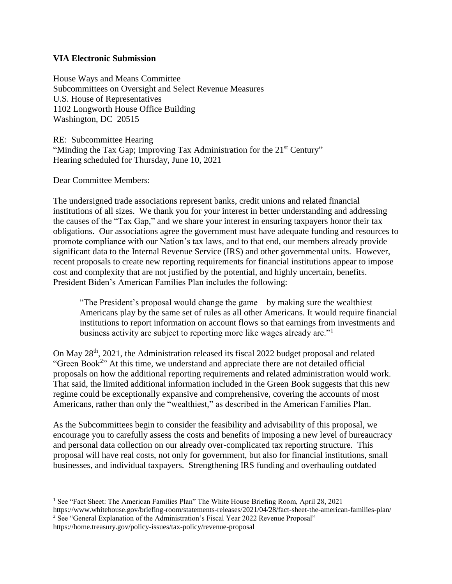#### **VIA Electronic Submission**

House Ways and Means Committee Subcommittees on Oversight and Select Revenue Measures U.S. House of Representatives 1102 Longworth House Office Building Washington, DC 20515

RE: Subcommittee Hearing "Minding the Tax Gap; Improving Tax Administration for the 21<sup>st</sup> Century" Hearing scheduled for Thursday, June 10, 2021

Dear Committee Members:

The undersigned trade associations represent banks, credit unions and related financial institutions of all sizes. We thank you for your interest in better understanding and addressing the causes of the "Tax Gap," and we share your interest in ensuring taxpayers honor their tax obligations. Our associations agree the government must have adequate funding and resources to promote compliance with our Nation's tax laws, and to that end, our members already provide significant data to the Internal Revenue Service (IRS) and other governmental units. However, recent proposals to create new reporting requirements for financial institutions appear to impose cost and complexity that are not justified by the potential, and highly uncertain, benefits. President Biden's American Families Plan includes the following:

"The President's proposal would change the game—by making sure the wealthiest Americans play by the same set of rules as all other Americans. It would require financial institutions to report information on account flows so that earnings from investments and business activity are subject to reporting more like wages already are."<sup>1</sup>

On May 28<sup>th</sup>, 2021, the Administration released its fiscal 2022 budget proposal and related "Green Book<sup>2</sup>" At this time, we understand and appreciate there are not detailed official proposals on how the additional reporting requirements and related administration would work. That said, the limited additional information included in the Green Book suggests that this new regime could be exceptionally expansive and comprehensive, covering the accounts of most Americans, rather than only the "wealthiest," as described in the American Families Plan.

As the Subcommittees begin to consider the feasibility and advisability of this proposal, we encourage you to carefully assess the costs and benefits of imposing a new level of bureaucracy and personal data collection on our already over-complicated tax reporting structure. This proposal will have real costs, not only for government, but also for financial institutions, small businesses, and individual taxpayers. Strengthening IRS funding and overhauling outdated

https://home.treasury.gov/policy-issues/tax-policy/revenue-proposal

 $\overline{a}$ <sup>1</sup> See "Fact Sheet: The American Families Plan" The White House Briefing Room, April 28, 2021

https://www.whitehouse.gov/briefing-room/statements-releases/2021/04/28/fact-sheet-the-american-families-plan/ <sup>2</sup> See "General Explanation of the Administration's Fiscal Year 2022 Revenue Proposal"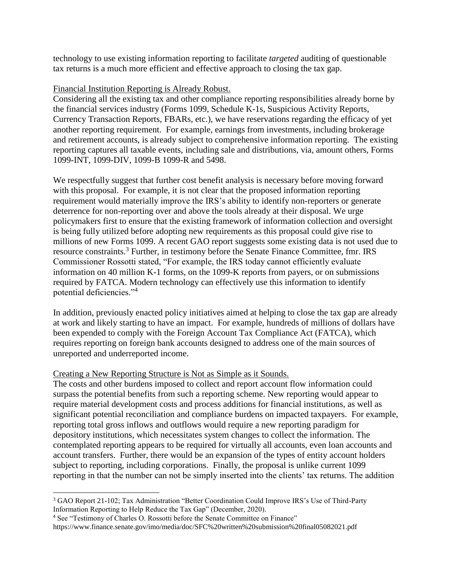technology to use existing information reporting to facilitate *targeted* auditing of questionable tax returns is a much more efficient and effective approach to closing the tax gap.

#### Financial Institution Reporting is Already Robust.

Considering all the existing tax and other compliance reporting responsibilities already borne by the financial services industry (Forms 1099, Schedule K-1s, Suspicious Activity Reports, Currency Transaction Reports, FBARs, etc.), we have reservations regarding the efficacy of yet another reporting requirement. For example, earnings from investments, including brokerage and retirement accounts, is already subject to comprehensive information reporting. The existing reporting captures all taxable events, including sale and distributions, via, amount others, Forms 1099-INT, 1099-DIV, 1099-B 1099-R and 5498.

We respectfully suggest that further cost benefit analysis is necessary before moving forward with this proposal. For example, it is not clear that the proposed information reporting requirement would materially improve the IRS's ability to identify non-reporters or generate deterrence for non-reporting over and above the tools already at their disposal. We urge policymakers first to ensure that the existing framework of information collection and oversight is being fully utilized before adopting new requirements as this proposal could give rise to millions of new Forms 1099. A recent GAO report suggests some existing data is not used due to resource constraints.<sup>3</sup> Further, in testimony before the Senate Finance Committee, fmr. IRS Commissioner Rossotti stated, "For example, the IRS today cannot efficiently evaluate information on 40 million K-1 forms, on the 1099-K reports from payers, or on submissions required by FATCA. Modern technology can effectively use this information to identify potential deficiencies."<sup>4</sup>

In addition, previously enacted policy initiatives aimed at helping to close the tax gap are already at work and likely starting to have an impact. For example, hundreds of millions of dollars have been expended to comply with the Foreign Account Tax Compliance Act (FATCA), which requires reporting on foreign bank accounts designed to address one of the main sources of unreported and underreported income.

# Creating a New Reporting Structure is Not as Simple as it Sounds.

The costs and other burdens imposed to collect and report account flow information could surpass the potential benefits from such a reporting scheme. New reporting would appear to require material development costs and process additions for financial institutions, as well as significant potential reconciliation and compliance burdens on impacted taxpayers. For example, reporting total gross inflows and outflows would require a new reporting paradigm for depository institutions, which necessitates system changes to collect the information. The contemplated reporting appears to be required for virtually all accounts, even loan accounts and account transfers. Further, there would be an expansion of the types of entity account holders subject to reporting, including corporations. Finally, the proposal is unlike current 1099 reporting in that the number can not be simply inserted into the clients' tax returns. The addition

 $\overline{a}$ 

<sup>3</sup> GAO Report 21-102; Tax Administration "Better Coordination Could Improve IRS's Use of Third-Party Information Reporting to Help Reduce the Tax Gap" (December, 2020).

<sup>4</sup> See "Testimony of Charles O. Rossotti before the Senate Committee on Finance"

https://www.finance.senate.gov/imo/media/doc/SFC%20written%20submission%20final05082021.pdf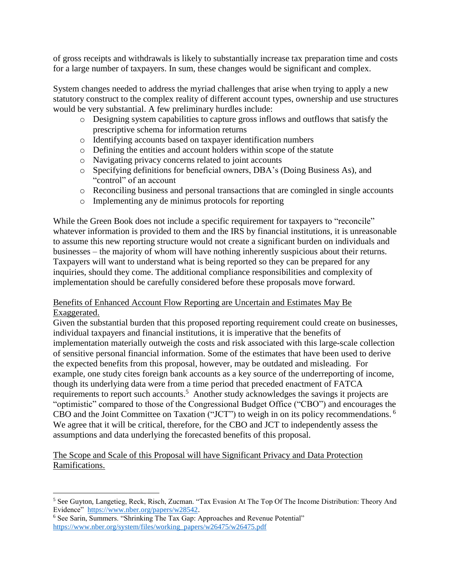of gross receipts and withdrawals is likely to substantially increase tax preparation time and costs for a large number of taxpayers. In sum, these changes would be significant and complex.

System changes needed to address the myriad challenges that arise when trying to apply a new statutory construct to the complex reality of different account types, ownership and use structures would be very substantial. A few preliminary hurdles include:

- o Designing system capabilities to capture gross inflows and outflows that satisfy the prescriptive schema for information returns
- o Identifying accounts based on taxpayer identification numbers
- o Defining the entities and account holders within scope of the statute
- o Navigating privacy concerns related to joint accounts
- o Specifying definitions for beneficial owners, DBA's (Doing Business As), and "control" of an account
- o Reconciling business and personal transactions that are comingled in single accounts
- o Implementing any de minimus protocols for reporting

While the Green Book does not include a specific requirement for taxpayers to "reconcile" whatever information is provided to them and the IRS by financial institutions, it is unreasonable to assume this new reporting structure would not create a significant burden on individuals and businesses – the majority of whom will have nothing inherently suspicious about their returns. Taxpayers will want to understand what is being reported so they can be prepared for any inquiries, should they come. The additional compliance responsibilities and complexity of implementation should be carefully considered before these proposals move forward.

# Benefits of Enhanced Account Flow Reporting are Uncertain and Estimates May Be Exaggerated.

Given the substantial burden that this proposed reporting requirement could create on businesses, individual taxpayers and financial institutions, it is imperative that the benefits of implementation materially outweigh the costs and risk associated with this large-scale collection of sensitive personal financial information. Some of the estimates that have been used to derive the expected benefits from this proposal, however, may be outdated and misleading. For example, one study cites foreign bank accounts as a key source of the underreporting of income, though its underlying data were from a time period that preceded enactment of FATCA requirements to report such accounts.<sup>5</sup> Another study acknowledges the savings it projects are "optimistic" compared to those of the Congressional Budget Office ("CBO") and encourages the CBO and the Joint Committee on Taxation ("JCT") to weigh in on its policy recommendations. <sup>6</sup> We agree that it will be critical, therefore, for the CBO and JCT to independently assess the assumptions and data underlying the forecasted benefits of this proposal.

# The Scope and Scale of this Proposal will have Significant Privacy and Data Protection Ramifications.

 $\overline{a}$ <sup>5</sup> See Guyton, Langetieg, Reck, Risch, Zucman. "Tax Evasion At The Top Of The Income Distribution: Theory And Evidence" [https://www.nber.org/papers/w28542.](https://www.nber.org/papers/w28542)

<sup>6</sup> See Sarin, Summers. "Shrinking The Tax Gap: Approaches and Revenue Potential" [https://www.nber.org/system/files/working\\_papers/w26475/w26475.pdf](https://www.nber.org/system/files/working_papers/w26475/w26475.pdf)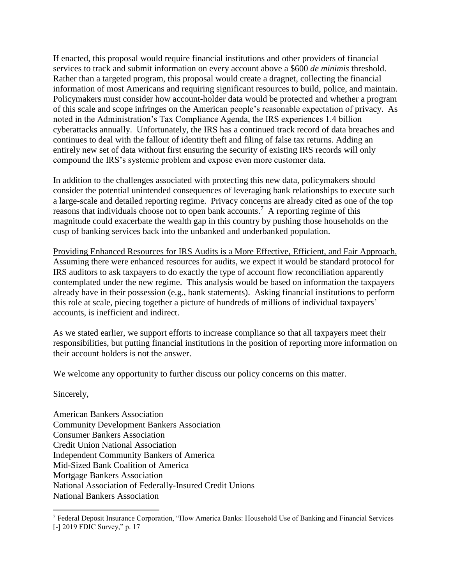If enacted, this proposal would require financial institutions and other providers of financial services to track and submit information on every account above a \$600 *de minimis* threshold. Rather than a targeted program, this proposal would create a dragnet, collecting the financial information of most Americans and requiring significant resources to build, police, and maintain. Policymakers must consider how account-holder data would be protected and whether a program of this scale and scope infringes on the American people's reasonable expectation of privacy. As noted in the Administration's Tax Compliance Agenda, the IRS experiences 1.4 billion cyberattacks annually. Unfortunately, the IRS has a continued track record of data breaches and continues to deal with the fallout of identity theft and filing of false tax returns. Adding an entirely new set of data without first ensuring the security of existing IRS records will only compound the IRS's systemic problem and expose even more customer data.

In addition to the challenges associated with protecting this new data, policymakers should consider the potential unintended consequences of leveraging bank relationships to execute such a large-scale and detailed reporting regime. Privacy concerns are already cited as one of the top reasons that individuals choose not to open bank accounts.<sup>7</sup> A reporting regime of this magnitude could exacerbate the wealth gap in this country by pushing those households on the cusp of banking services back into the unbanked and underbanked population.

Providing Enhanced Resources for IRS Audits is a More Effective, Efficient, and Fair Approach. Assuming there were enhanced resources for audits, we expect it would be standard protocol for IRS auditors to ask taxpayers to do exactly the type of account flow reconciliation apparently contemplated under the new regime. This analysis would be based on information the taxpayers already have in their possession (e.g., bank statements). Asking financial institutions to perform this role at scale, piecing together a picture of hundreds of millions of individual taxpayers' accounts, is inefficient and indirect.

As we stated earlier, we support efforts to increase compliance so that all taxpayers meet their responsibilities, but putting financial institutions in the position of reporting more information on their account holders is not the answer.

We welcome any opportunity to further discuss our policy concerns on this matter.

#### Sincerely,

 $\overline{a}$ 

American Bankers Association Community Development Bankers Association Consumer Bankers Association Credit Union National Association Independent Community Bankers of America Mid-Sized Bank Coalition of America Mortgage Bankers Association National Association of Federally-Insured Credit Unions National Bankers Association

<sup>7</sup> Federal Deposit Insurance Corporation, "How America Banks: Household Use of Banking and Financial Services [-] 2019 FDIC Survey," p. 17